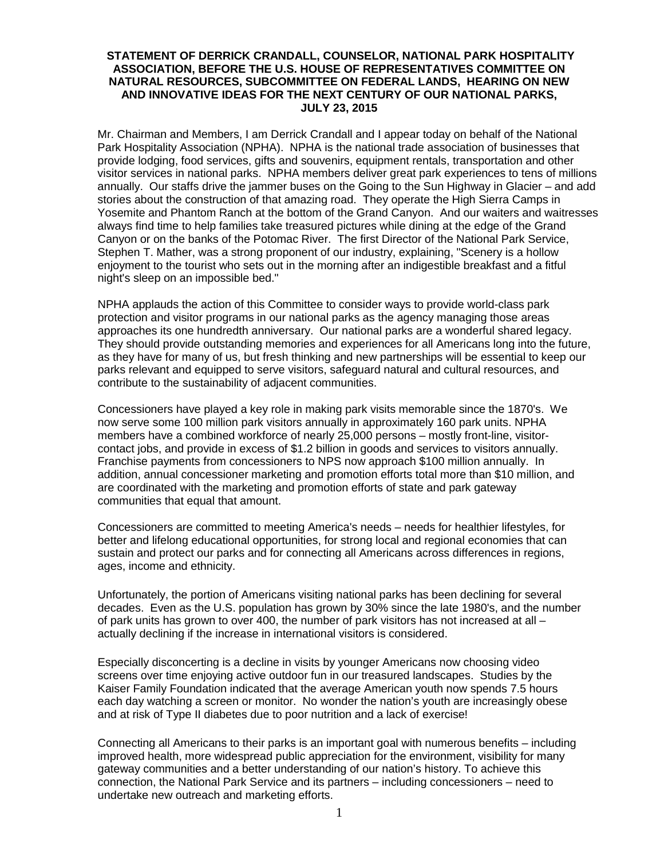## **STATEMENT OF DERRICK CRANDALL, COUNSELOR, NATIONAL PARK HOSPITALITY ASSOCIATION, BEFORE THE U.S. HOUSE OF REPRESENTATIVES COMMITTEE ON NATURAL RESOURCES, SUBCOMMITTEE ON FEDERAL LANDS, HEARING ON NEW AND INNOVATIVE IDEAS FOR THE NEXT CENTURY OF OUR NATIONAL PARKS, JULY 23, 2015**

Mr. Chairman and Members, I am Derrick Crandall and I appear today on behalf of the National Park Hospitality Association (NPHA). NPHA is the national trade association of businesses that provide lodging, food services, gifts and souvenirs, equipment rentals, transportation and other visitor services in national parks. NPHA members deliver great park experiences to tens of millions annually. Our staffs drive the jammer buses on the Going to the Sun Highway in Glacier – and add stories about the construction of that amazing road. They operate the High Sierra Camps in Yosemite and Phantom Ranch at the bottom of the Grand Canyon. And our waiters and waitresses always find time to help families take treasured pictures while dining at the edge of the Grand Canyon or on the banks of the Potomac River. The first Director of the National Park Service, Stephen T. Mather, was a strong proponent of our industry, explaining, "Scenery is a hollow enjoyment to the tourist who sets out in the morning after an indigestible breakfast and a fitful night's sleep on an impossible bed."

NPHA applauds the action of this Committee to consider ways to provide world-class park protection and visitor programs in our national parks as the agency managing those areas approaches its one hundredth anniversary. Our national parks are a wonderful shared legacy. They should provide outstanding memories and experiences for all Americans long into the future, as they have for many of us, but fresh thinking and new partnerships will be essential to keep our parks relevant and equipped to serve visitors, safeguard natural and cultural resources, and contribute to the sustainability of adjacent communities.

Concessioners have played a key role in making park visits memorable since the 1870's. We now serve some 100 million park visitors annually in approximately 160 park units. NPHA members have a combined workforce of nearly 25,000 persons – mostly front-line, visitorcontact jobs, and provide in excess of \$1.2 billion in goods and services to visitors annually. Franchise payments from concessioners to NPS now approach \$100 million annually. In addition, annual concessioner marketing and promotion efforts total more than \$10 million, and are coordinated with the marketing and promotion efforts of state and park gateway communities that equal that amount.

Concessioners are committed to meeting America's needs – needs for healthier lifestyles, for better and lifelong educational opportunities, for strong local and regional economies that can sustain and protect our parks and for connecting all Americans across differences in regions, ages, income and ethnicity.

Unfortunately, the portion of Americans visiting national parks has been declining for several decades. Even as the U.S. population has grown by 30% since the late 1980's, and the number of park units has grown to over 400, the number of park visitors has not increased at all – actually declining if the increase in international visitors is considered.

Especially disconcerting is a decline in visits by younger Americans now choosing video screens over time enjoying active outdoor fun in our treasured landscapes. Studies by the Kaiser Family Foundation indicated that the average American youth now spends 7.5 hours each day watching a screen or monitor. No wonder the nation's youth are increasingly obese and at risk of Type II diabetes due to poor nutrition and a lack of exercise!

Connecting all Americans to their parks is an important goal with numerous benefits – including improved health, more widespread public appreciation for the environment, visibility for many gateway communities and a better understanding of our nation's history. To achieve this connection, the National Park Service and its partners – including concessioners – need to undertake new outreach and marketing efforts.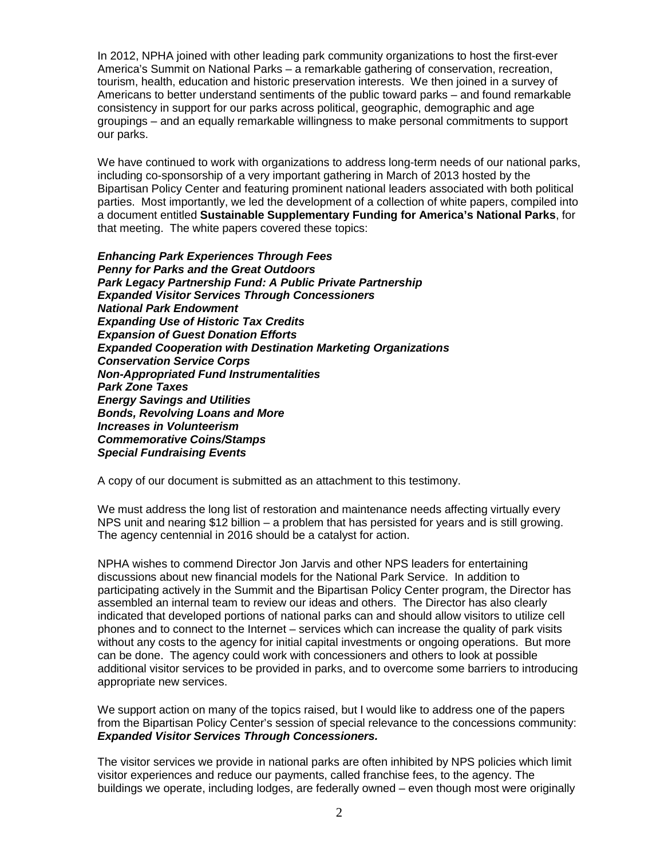In 2012, NPHA joined with other leading park community organizations to host the first-ever America's Summit on National Parks – a remarkable gathering of conservation, recreation, tourism, health, education and historic preservation interests. We then joined in a survey of Americans to better understand sentiments of the public toward parks – and found remarkable consistency in support for our parks across political, geographic, demographic and age groupings – and an equally remarkable willingness to make personal commitments to support our parks.

We have continued to work with organizations to address long-term needs of our national parks, including co-sponsorship of a very important gathering in March of 2013 hosted by the Bipartisan Policy Center and featuring prominent national leaders associated with both political parties. Most importantly, we led the development of a collection of white papers, compiled into a document entitled **Sustainable Supplementary Funding for America's National Parks**, for that meeting. The white papers covered these topics:

*Enhancing Park Experiences Through Fees Penny for Parks and the Great Outdoors Park Legacy Partnership Fund: A Public Private Partnership Expanded Visitor Services Through Concessioners National Park Endowment Expanding Use of Historic Tax Credits Expansion of Guest Donation Efforts Expanded Cooperation with Destination Marketing Organizations Conservation Service Corps Non-Appropriated Fund Instrumentalities Park Zone Taxes Energy Savings and Utilities Bonds, Revolving Loans and More Increases in Volunteerism Commemorative Coins/Stamps Special Fundraising Events* 

A copy of our document is submitted as an attachment to this testimony.

We must address the long list of restoration and maintenance needs affecting virtually every NPS unit and nearing \$12 billion – a problem that has persisted for years and is still growing. The agency centennial in 2016 should be a catalyst for action.

NPHA wishes to commend Director Jon Jarvis and other NPS leaders for entertaining discussions about new financial models for the National Park Service. In addition to participating actively in the Summit and the Bipartisan Policy Center program, the Director has assembled an internal team to review our ideas and others. The Director has also clearly indicated that developed portions of national parks can and should allow visitors to utilize cell phones and to connect to the Internet – services which can increase the quality of park visits without any costs to the agency for initial capital investments or ongoing operations. But more can be done. The agency could work with concessioners and others to look at possible additional visitor services to be provided in parks, and to overcome some barriers to introducing appropriate new services.

We support action on many of the topics raised, but I would like to address one of the papers from the Bipartisan Policy Center's session of special relevance to the concessions community: *Expanded Visitor Services Through Concessioners.* 

The visitor services we provide in national parks are often inhibited by NPS policies which limit visitor experiences and reduce our payments, called franchise fees, to the agency. The buildings we operate, including lodges, are federally owned – even though most were originally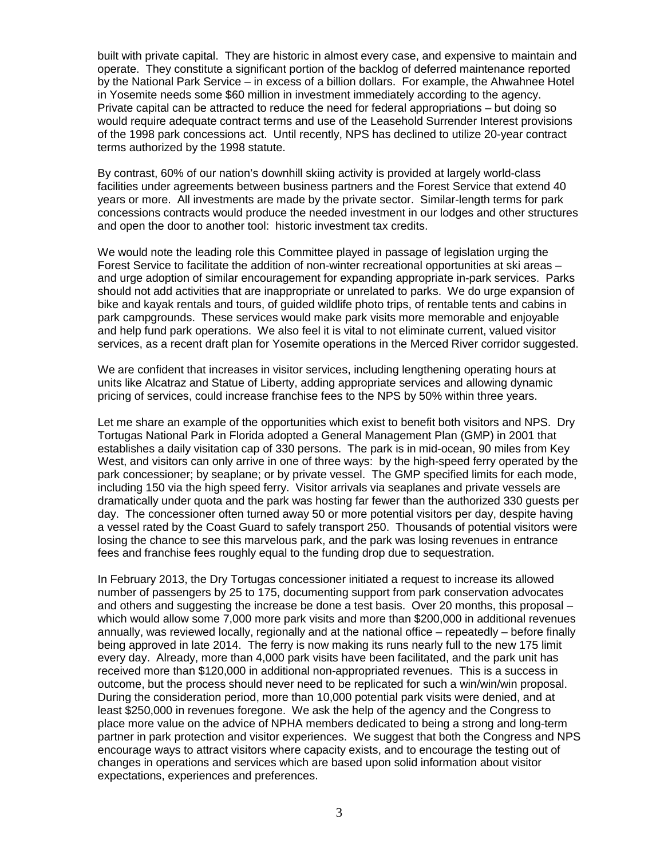built with private capital. They are historic in almost every case, and expensive to maintain and operate. They constitute a significant portion of the backlog of deferred maintenance reported by the National Park Service – in excess of a billion dollars. For example, the Ahwahnee Hotel in Yosemite needs some \$60 million in investment immediately according to the agency. Private capital can be attracted to reduce the need for federal appropriations – but doing so would require adequate contract terms and use of the Leasehold Surrender Interest provisions of the 1998 park concessions act. Until recently, NPS has declined to utilize 20-year contract terms authorized by the 1998 statute.

By contrast, 60% of our nation's downhill skiing activity is provided at largely world-class facilities under agreements between business partners and the Forest Service that extend 40 years or more. All investments are made by the private sector. Similar-length terms for park concessions contracts would produce the needed investment in our lodges and other structures and open the door to another tool: historic investment tax credits.

We would note the leading role this Committee played in passage of legislation urging the Forest Service to facilitate the addition of non-winter recreational opportunities at ski areas – and urge adoption of similar encouragement for expanding appropriate in-park services. Parks should not add activities that are inappropriate or unrelated to parks. We do urge expansion of bike and kayak rentals and tours, of guided wildlife photo trips, of rentable tents and cabins in park campgrounds. These services would make park visits more memorable and enjoyable and help fund park operations. We also feel it is vital to not eliminate current, valued visitor services, as a recent draft plan for Yosemite operations in the Merced River corridor suggested.

We are confident that increases in visitor services, including lengthening operating hours at units like Alcatraz and Statue of Liberty, adding appropriate services and allowing dynamic pricing of services, could increase franchise fees to the NPS by 50% within three years.

Let me share an example of the opportunities which exist to benefit both visitors and NPS. Dry Tortugas National Park in Florida adopted a General Management Plan (GMP) in 2001 that establishes a daily visitation cap of 330 persons. The park is in mid-ocean, 90 miles from Key West, and visitors can only arrive in one of three ways: by the high-speed ferry operated by the park concessioner; by seaplane; or by private vessel. The GMP specified limits for each mode, including 150 via the high speed ferry. Visitor arrivals via seaplanes and private vessels are dramatically under quota and the park was hosting far fewer than the authorized 330 guests per day. The concessioner often turned away 50 or more potential visitors per day, despite having a vessel rated by the Coast Guard to safely transport 250. Thousands of potential visitors were losing the chance to see this marvelous park, and the park was losing revenues in entrance fees and franchise fees roughly equal to the funding drop due to sequestration.

In February 2013, the Dry Tortugas concessioner initiated a request to increase its allowed number of passengers by 25 to 175, documenting support from park conservation advocates and others and suggesting the increase be done a test basis. Over 20 months, this proposal – which would allow some 7,000 more park visits and more than \$200,000 in additional revenues annually, was reviewed locally, regionally and at the national office – repeatedly – before finally being approved in late 2014. The ferry is now making its runs nearly full to the new 175 limit every day. Already, more than 4,000 park visits have been facilitated, and the park unit has received more than \$120,000 in additional non-appropriated revenues. This is a success in outcome, but the process should never need to be replicated for such a win/win/win proposal. During the consideration period, more than 10,000 potential park visits were denied, and at least \$250,000 in revenues foregone. We ask the help of the agency and the Congress to place more value on the advice of NPHA members dedicated to being a strong and long-term partner in park protection and visitor experiences. We suggest that both the Congress and NPS encourage ways to attract visitors where capacity exists, and to encourage the testing out of changes in operations and services which are based upon solid information about visitor expectations, experiences and preferences.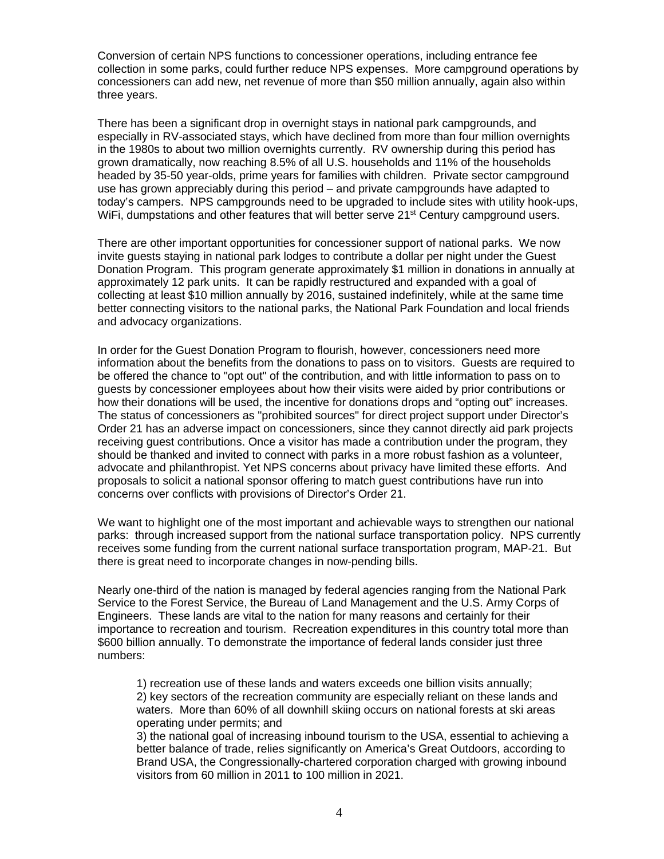Conversion of certain NPS functions to concessioner operations, including entrance fee collection in some parks, could further reduce NPS expenses. More campground operations by concessioners can add new, net revenue of more than \$50 million annually, again also within three years.

There has been a significant drop in overnight stays in national park campgrounds, and especially in RV-associated stays, which have declined from more than four million overnights in the 1980s to about two million overnights currently. RV ownership during this period has grown dramatically, now reaching 8.5% of all U.S. households and 11% of the households headed by 35-50 year-olds, prime years for families with children. Private sector campground use has grown appreciably during this period – and private campgrounds have adapted to today's campers. NPS campgrounds need to be upgraded to include sites with utility hook-ups, WiFi, dumpstations and other features that will better serve 21<sup>st</sup> Century campground users.

There are other important opportunities for concessioner support of national parks. We now invite guests staying in national park lodges to contribute a dollar per night under the Guest Donation Program. This program generate approximately \$1 million in donations in annually at approximately 12 park units. It can be rapidly restructured and expanded with a goal of collecting at least \$10 million annually by 2016, sustained indefinitely, while at the same time better connecting visitors to the national parks, the National Park Foundation and local friends and advocacy organizations.

In order for the Guest Donation Program to flourish, however, concessioners need more information about the benefits from the donations to pass on to visitors. Guests are required to be offered the chance to "opt out" of the contribution, and with little information to pass on to guests by concessioner employees about how their visits were aided by prior contributions or how their donations will be used, the incentive for donations drops and "opting out" increases. The status of concessioners as "prohibited sources" for direct project support under Director's Order 21 has an adverse impact on concessioners, since they cannot directly aid park projects receiving guest contributions. Once a visitor has made a contribution under the program, they should be thanked and invited to connect with parks in a more robust fashion as a volunteer, advocate and philanthropist. Yet NPS concerns about privacy have limited these efforts. And proposals to solicit a national sponsor offering to match guest contributions have run into concerns over conflicts with provisions of Director's Order 21.

We want to highlight one of the most important and achievable ways to strengthen our national parks: through increased support from the national surface transportation policy. NPS currently receives some funding from the current national surface transportation program, MAP-21. But there is great need to incorporate changes in now-pending bills.

Nearly one-third of the nation is managed by federal agencies ranging from the National Park Service to the Forest Service, the Bureau of Land Management and the U.S. Army Corps of Engineers. These lands are vital to the nation for many reasons and certainly for their importance to recreation and tourism. Recreation expenditures in this country total more than \$600 billion annually. To demonstrate the importance of federal lands consider just three numbers:

1) recreation use of these lands and waters exceeds one billion visits annually; 2) key sectors of the recreation community are especially reliant on these lands and waters. More than 60% of all downhill skiing occurs on national forests at ski areas operating under permits; and

3) the national goal of increasing inbound tourism to the USA, essential to achieving a better balance of trade, relies significantly on America's Great Outdoors, according to Brand USA, the Congressionally-chartered corporation charged with growing inbound visitors from 60 million in 2011 to 100 million in 2021.